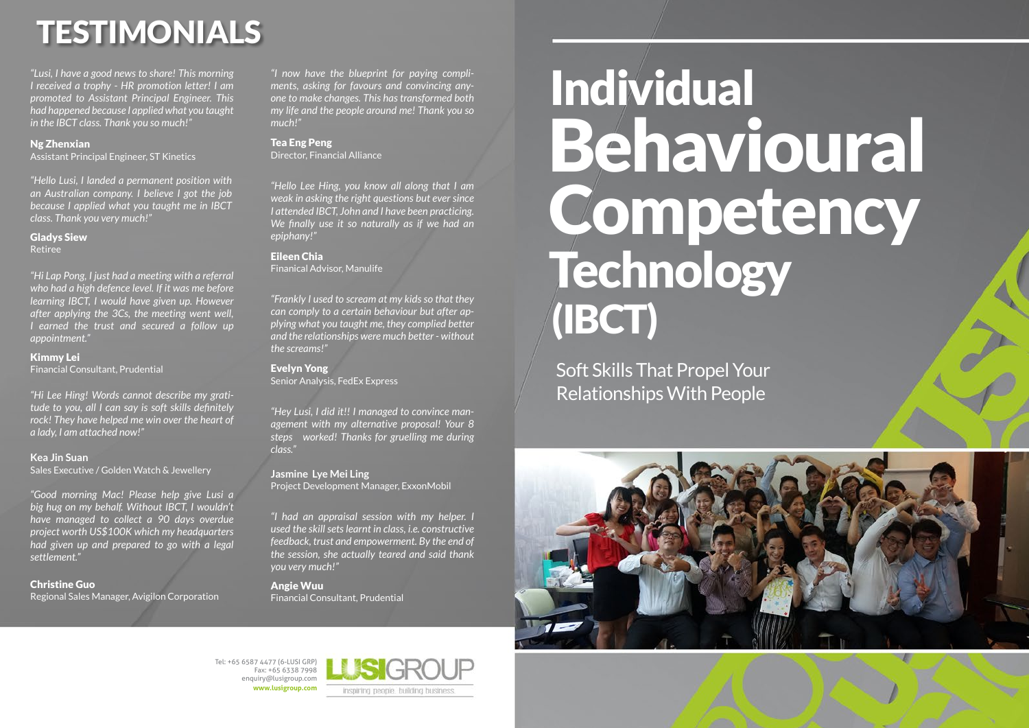Tel: +65 6587 4477 (6-LUSI GRP) Fax: +65 6338 7998 enquiry@lusigroup.com **www.lusigroup.com**



# Individual Behavioural Competency Technology (IBCT)

Soft Skills That Propel Your Relationships With People



## TESTIMONIALS

*"Hi Lap Pong, I just had a meeting with a referral who had a high defence level. If it was me before learning IBCT, I would have given up. However after applying the 3Cs, the meeting went well, I earned the trust and secured a follow up appointment."*

Kimmy Lei

Financial Consultant, Prudential

*"Hello Lusi, I landed a permanent position with an Australian company. I believe I got the job because I applied what you taught me in IBCT class. Thank you very much!"*

Gladys Siew

Retiree

*"Lusi, I have a good news to share! This morning I received a trophy - HR promotion letter! I am promoted to Assistant Principal Engineer. This had happened because I applied what you taught in the IBCT class. Thank you so much!"*

#### Ng Zhenxian

Assistant Principal Engineer, ST Kinetics

*"I had an appraisal session with my helper. I used the skill sets learnt in class, i.e. constructive feedback, trust and empowerment. By the end of the session, she actually teared and said thank you very much!"*

#### Angie Wuu

Financial Consultant, Prudential

*"Hello Lee Hing, you know all along that I am weak in asking the right questions but ever since I attended IBCT, John and I have been practicing. We finally use it so naturally as if we had an epiphany!"*

#### Eileen Chia

Finanical Advisor, Manulife

*"Frankly I used to scream at my kids so that they can comply to a certain behaviour but after applying what you taught me, they complied better and the relationships were much better - without the screams!"*

Evelyn Yong Senior Analysis, FedEx Express

*"Good morning Mac! Please help give Lusi a big hug on my behalf. Without IBCT, I wouldn't have managed to collect a 90 days overdue project worth US\$100K which my headquarters had given up and prepared to go with a legal settlement."*

Christine Guo

Regional Sales Manager, Avigilon Corporation

*"Hey Lusi, I did it!! I managed to convince management with my alternative proposal! Your 8 steps worked! Thanks for gruelling me during class."*

#### **Jasmine Lye Mei Ling**

Project Development Manager, ExxonMobil

*"I now have the blueprint for paying compliments, asking for favours and convincing anyone to make changes. This has transformed both my life and the people around me! Thank you so much!"*

#### Tea Eng Peng

Director, Financial Alliance

*"Hi Lee Hing! Words cannot describe my gratitude to you, all I can say is soft skills definitely rock! They have helped me win over the heart of a lady, I am attached now!"*

**Kea Jin Suan** Sales Executive / Golden Watch & Jewellery